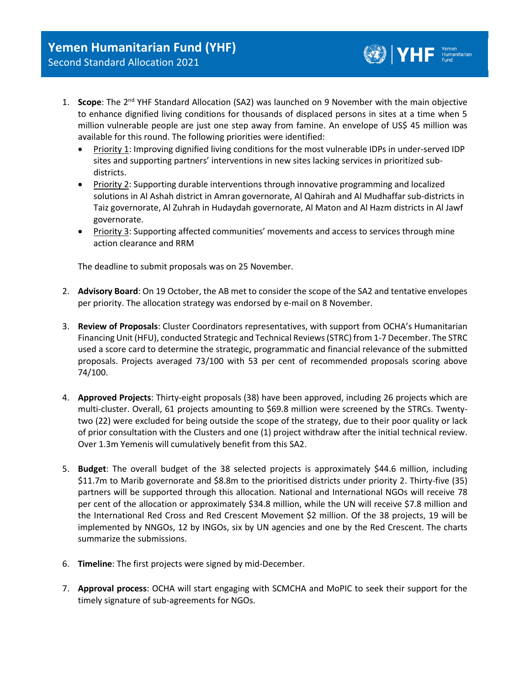1. **Scope**: The 2<sup>nd</sup> YHF Standard Allocation (SA2) was launched on 9 November with the main objective to enhance dignified living conditions for thousands of displaced persons in sites at a time when 5 million vulnerable people are just one step away from famine. An envelope of US\$ 45 million was available for this round. The following priorities were identified:

 $\left(\begin{matrix} \bullet \\ \bullet \\ \bullet \end{matrix}\right)$   $\left| \begin{matrix} \bullet \\ \bullet \\ \bullet \end{matrix}\right|$   $\left| \begin{matrix} \bullet \\ \bullet \\ \bullet \end{matrix}\right|$   $\left| \begin{matrix} \bullet \\ \bullet \\ \bullet \end{matrix}\right|$ 

- Priority 1: Improving dignified living conditions for the most vulnerable IDPs in under-served IDP sites and supporting partners' interventions in new sites lacking services in prioritized subdistricts.
- Priority 2: Supporting durable interventions through innovative programming and localized solutions in Al Ashah district in Amran governorate, Al Qahirah and Al Mudhaffar sub-districts in Taiz governorate, Al Zuhrah in Hudaydah governorate, Al Maton and Al Hazm districts in Al Jawf governorate.
- Priority 3: Supporting affected communities' movements and access to services through mine action clearance and RRM

The deadline to submit proposals was on 25 November.

- 2. **Advisory Board**: On 19 October, the AB met to consider the scope of the SA2 and tentative envelopes per priority. The allocation strategy was endorsed by e-mail on 8 November.
- 3. **Review of Proposals**: Cluster Coordinators representatives, with support from OCHA's Humanitarian Financing Unit (HFU), conducted Strategic and Technical Reviews(STRC) from 1-7 December. The STRC used a score card to determine the strategic, programmatic and financial relevance of the submitted proposals. Projects averaged 73/100 with 53 per cent of recommended proposals scoring above 74/100.
- 4. **Approved Projects**: Thirty-eight proposals (38) have been approved, including 26 projects which are multi-cluster. Overall, 61 projects amounting to \$69.8 million were screened by the STRCs. Twentytwo (22) were excluded for being outside the scope of the strategy, due to their poor quality or lack of prior consultation with the Clusters and one (1) project withdraw after the initial technical review. Over 1.3m Yemenis will cumulatively benefit from this SA2.
- 5. **Budget**: The overall budget of the 38 selected projects is approximately \$44.6 million, including \$11.7m to Marib governorate and \$8.8m to the prioritised districts under priority 2. Thirty-five (35) partners will be supported through this allocation. National and International NGOs will receive 78 per cent of the allocation or approximately \$34.8 million, while the UN will receive \$7.8 million and the International Red Cross and Red Crescent Movement \$2 million. Of the 38 projects, 19 will be implemented by NNGOs, 12 by INGOs, six by UN agencies and one by the Red Crescent. The charts summarize the submissions.
- 6. **Timeline**: The first projects were signed by mid-December.
- 7. **Approval process**: OCHA will start engaging with SCMCHA and MoPIC to seek their support for the timely signature of sub-agreements for NGOs.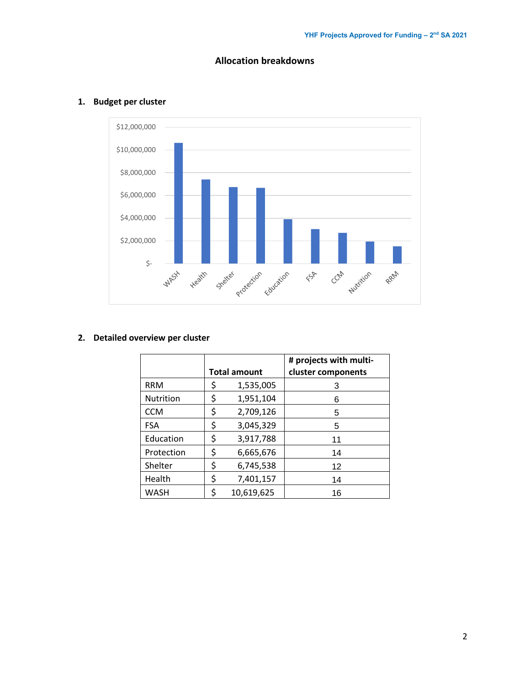



## **1. Budget per cluster**

### **2. Detailed overview per cluster**

|             | <b>Total amount</b> | # projects with multi-<br>cluster components |
|-------------|---------------------|----------------------------------------------|
| <b>RRM</b>  | \$<br>1,535,005     | 3                                            |
| Nutrition   | \$<br>1,951,104     | 6                                            |
| <b>CCM</b>  | \$<br>2,709,126     | 5                                            |
| <b>FSA</b>  | \$<br>3,045,329     | 5                                            |
| Education   | \$<br>3,917,788     | 11                                           |
| Protection  | \$<br>6,665,676     | 14                                           |
| Shelter     | \$<br>6,745,538     | 12                                           |
| Health      | \$<br>7,401,157     | 14                                           |
| <b>WASH</b> | \$<br>10,619,625    | 16                                           |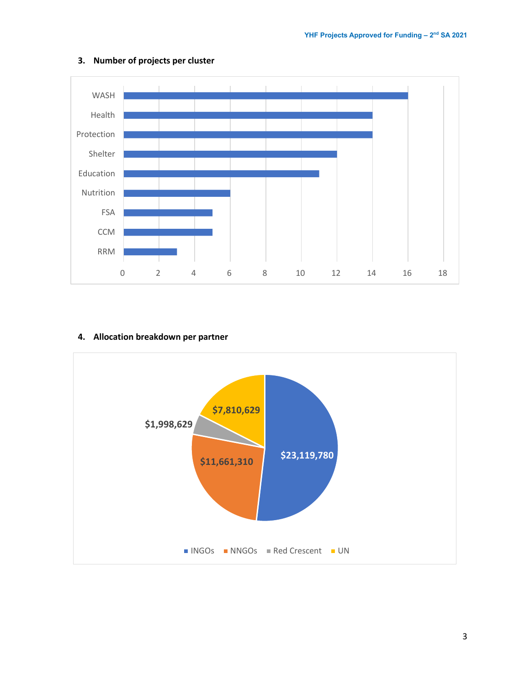

### **3. Number of projects per cluster**

#### **4. Allocation breakdown per partner**

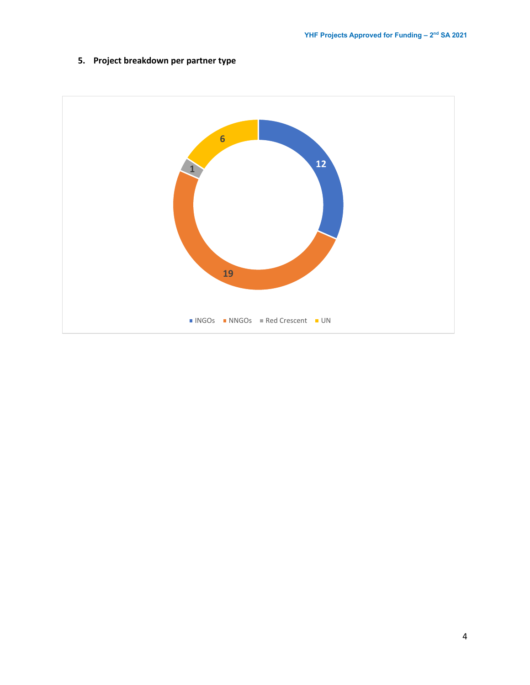## **5. Project breakdown per partner type**

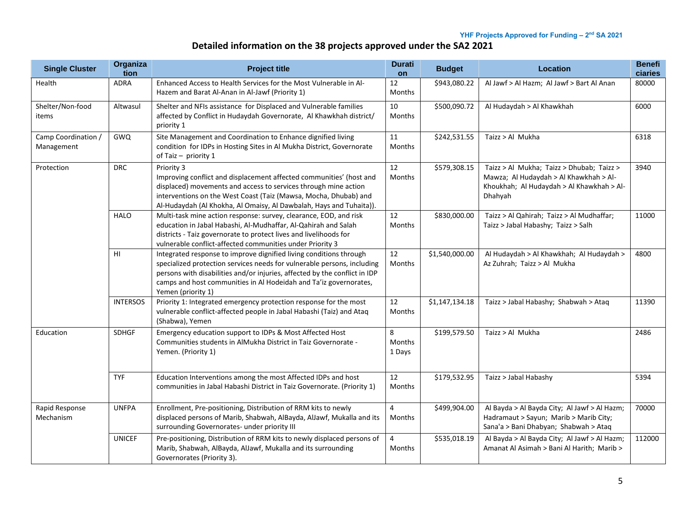# **Detailed information on the 38 projects approved under the SA2 2021**

| <b>Single Cluster</b>             | Organiza<br>tion | <b>Project title</b>                                                                                                                                                                                                                                                                                                   | <b>Durati</b><br>on      | <b>Budget</b>  | <b>Location</b>                                                                                                                             | <b>Benefi</b><br>ciaries |
|-----------------------------------|------------------|------------------------------------------------------------------------------------------------------------------------------------------------------------------------------------------------------------------------------------------------------------------------------------------------------------------------|--------------------------|----------------|---------------------------------------------------------------------------------------------------------------------------------------------|--------------------------|
| Health                            | <b>ADRA</b>      | Enhanced Access to Health Services for the Most Vulnerable in Al-<br>Hazem and Barat Al-Anan in Al-Jawf (Priority 1)                                                                                                                                                                                                   | 12<br>Months             | \$943,080.22   | Al Jawf > Al Hazm; Al Jawf > Bart Al Anan                                                                                                   | 80000                    |
| Shelter/Non-food<br>items         | Altwasul         | Shelter and NFIs assistance for Displaced and Vulnerable families<br>affected by Conflict in Hudaydah Governorate, Al Khawkhah district/<br>priority 1                                                                                                                                                                 | 10<br>Months             | \$500,090.72   | Al Hudaydah > Al Khawkhah                                                                                                                   | 6000                     |
| Camp Coordination /<br>Management | <b>GWQ</b>       | Site Management and Coordination to Enhance dignified living<br>condition for IDPs in Hosting Sites in Al Mukha District, Governorate<br>of Taiz $-$ priority 1                                                                                                                                                        | 11<br><b>Months</b>      | \$242,531.55   | Taizz > Al Mukha                                                                                                                            | 6318                     |
| Protection                        | <b>DRC</b>       | Priority 3<br>Improving conflict and displacement affected communities' (host and<br>displaced) movements and access to services through mine action<br>interventions on the West Coast (Taiz (Mawsa, Mocha, Dhubab) and<br>Al-Hudaydah (Al Khokha, Al Omaisy, Al Dawbalah, Hays and Tuhaita)).                        | 12<br>Months             | \$579,308.15   | Taizz > Al Mukha; Taizz > Dhubab; Taizz ><br>Mawza; Al Hudaydah > Al Khawkhah > Al-<br>Khoukhah; Al Hudaydah > Al Khawkhah > Al-<br>Dhahyah | 3940                     |
|                                   | <b>HALO</b>      | Multi-task mine action response: survey, clearance, EOD, and risk<br>education in Jabal Habashi, Al-Mudhaffar, Al-Qahirah and Salah<br>districts - Taiz governorate to protect lives and livelihoods for<br>vulnerable conflict-affected communities under Priority 3                                                  | 12<br><b>Months</b>      | \$830,000.00   | Taizz > Al Qahirah; Taizz > Al Mudhaffar;<br>Taizz > Jabal Habashy; Taizz > Salh                                                            | 11000                    |
|                                   | HI               | Integrated response to improve dignified living conditions through<br>specialized protection services needs for vulnerable persons, including<br>persons with disabilities and/or injuries, affected by the conflict in IDP<br>camps and host communities in Al Hodeidah and Ta'iz governorates,<br>Yemen (priority 1) | 12<br><b>Months</b>      | \$1,540,000.00 | Al Hudaydah > Al Khawkhah; Al Hudaydah ><br>Az Zuhrah; Taizz > Al Mukha                                                                     | 4800                     |
|                                   | <b>INTERSOS</b>  | Priority 1: Integrated emergency protection response for the most<br>vulnerable conflict-affected people in Jabal Habashi (Taiz) and Ataq<br>(Shabwa), Yemen                                                                                                                                                           | 12<br><b>Months</b>      | \$1,147,134.18 | Taizz > Jabal Habashy; Shabwah > Ataq                                                                                                       | 11390                    |
| Education                         | <b>SDHGF</b>     | Emergency education support to IDPs & Most Affected Host<br>Communities students in AlMukha District in Taiz Governorate -<br>Yemen. (Priority 1)                                                                                                                                                                      | 8<br>Months<br>1 Days    | \$199,579.50   | Taizz > Al Mukha                                                                                                                            | 2486                     |
|                                   | <b>TYF</b>       | Education Interventions among the most Affected IDPs and host<br>communities in Jabal Habashi District in Taiz Governorate. (Priority 1)                                                                                                                                                                               | 12<br><b>Months</b>      | \$179,532.95   | Taizz > Jabal Habashy                                                                                                                       | 5394                     |
| Rapid Response<br>Mechanism       | <b>UNFPA</b>     | Enrollment, Pre-positioning, Distribution of RRM kits to newly<br>displaced persons of Marib, Shabwah, AlBayda, AlJawf, Mukalla and its<br>surrounding Governorates- under priority III                                                                                                                                | $\overline{4}$<br>Months | \$499,904.00   | Al Bayda > Al Bayda City; Al Jawf > Al Hazm;<br>Hadramaut > Sayun; Marib > Marib City;<br>Sana'a > Bani Dhabyan; Shabwah > Ataq             | 70000                    |
|                                   | <b>UNICEF</b>    | Pre-positioning, Distribution of RRM kits to newly displaced persons of<br>Marib, Shabwah, AlBayda, AlJawf, Mukalla and its surrounding<br>Governorates (Priority 3).                                                                                                                                                  | 4<br>Months              | \$535,018.19   | Al Bayda > Al Bayda City; Al Jawf > Al Hazm;<br>Amanat Al Asimah > Bani Al Harith; Marib >                                                  | 112000                   |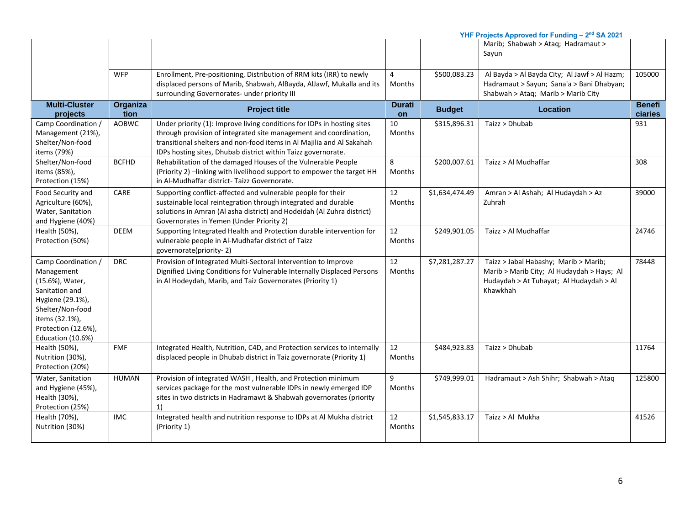|                      |              | YHF Projects Approved for Funding - 2 <sup>nd</sup> SA 2021                                                                                   |                                 |                |                                                                                           |               |
|----------------------|--------------|-----------------------------------------------------------------------------------------------------------------------------------------------|---------------------------------|----------------|-------------------------------------------------------------------------------------------|---------------|
|                      |              |                                                                                                                                               |                                 |                | Marib; Shabwah > Ataq; Hadramaut >                                                        |               |
|                      |              |                                                                                                                                               |                                 |                | Sayun                                                                                     |               |
|                      |              |                                                                                                                                               |                                 |                |                                                                                           |               |
|                      | <b>WFP</b>   | Enrollment, Pre-positioning, Distribution of RRM kits (IRR) to newly<br>displaced persons of Marib, Shabwah, AlBayda, AlJawf, Mukalla and its | $\overline{4}$<br><b>Months</b> | \$500,083.23   | Al Bayda > Al Bayda City; Al Jawf > Al Hazm;<br>Hadramaut > Sayun; Sana'a > Bani Dhabyan; | 105000        |
|                      |              | surrounding Governorates- under priority III                                                                                                  |                                 |                | Shabwah > Ataq; Marib > Marib City                                                        |               |
| <b>Multi-Cluster</b> | Organiza     |                                                                                                                                               | <b>Durati</b>                   |                |                                                                                           | <b>Benefi</b> |
| projects             | tion         | <b>Project title</b>                                                                                                                          | on                              | <b>Budget</b>  | <b>Location</b>                                                                           | ciaries       |
| Camp Coordination /  | AOBWC        | Under priority (1): Improve living conditions for IDPs in hosting sites                                                                       | 10                              | \$315,896.31   | Taizz > Dhubab                                                                            | 931           |
| Management (21%),    |              | through provision of integrated site management and coordination,                                                                             | <b>Months</b>                   |                |                                                                                           |               |
| Shelter/Non-food     |              | transitional shelters and non-food items in Al Majilia and Al Sakahah                                                                         |                                 |                |                                                                                           |               |
| items (79%)          |              | IDPs hosting sites, Dhubab district within Taizz governorate.                                                                                 |                                 |                |                                                                                           |               |
| Shelter/Non-food     | <b>BCFHD</b> | Rehabilitation of the damaged Houses of the Vulnerable People                                                                                 | 8                               | \$200,007.61   | Taizz > Al Mudhaffar                                                                      | 308           |
| items (85%),         |              | (Priority 2) - linking with livelihood support to empower the target HH                                                                       | Months                          |                |                                                                                           |               |
| Protection (15%)     |              | in Al-Mudhaffar district- Taizz Governorate.                                                                                                  |                                 |                |                                                                                           |               |
| Food Security and    | CARE         | Supporting conflict-affected and vulnerable people for their                                                                                  | 12                              | \$1,634,474.49 | Amran > Al Ashah; Al Hudaydah > Az                                                        | 39000         |
| Agriculture (60%),   |              | sustainable local reintegration through integrated and durable                                                                                | Months                          |                | Zuhrah                                                                                    |               |
| Water, Sanitation    |              | solutions in Amran (Al asha district) and Hodeidah (Al Zuhra district)                                                                        |                                 |                |                                                                                           |               |
| and Hygiene (40%)    |              | Governorates in Yemen (Under Priority 2)                                                                                                      |                                 |                |                                                                                           |               |
| Health (50%),        | DEEM         | Supporting Integrated Health and Protection durable intervention for                                                                          | 12                              | \$249,901.05   | Taizz > Al Mudhaffar                                                                      | 24746         |
| Protection (50%)     |              | vulnerable people in Al-Mudhafar district of Taizz                                                                                            | Months                          |                |                                                                                           |               |
|                      |              | governorate(priority-2)                                                                                                                       |                                 |                |                                                                                           |               |
| Camp Coordination /  | <b>DRC</b>   | Provision of Integrated Multi-Sectoral Intervention to Improve                                                                                | 12                              | \$7,281,287.27 | Taizz > Jabal Habashy; Marib > Marib;                                                     | 78448         |
| Management           |              | Dignified Living Conditions for Vulnerable Internally Displaced Persons                                                                       | <b>Months</b>                   |                | Marib > Marib City; Al Hudaydah > Hays; Al                                                |               |
| (15.6%), Water,      |              | in Al Hodeydah, Marib, and Taiz Governorates (Priority 1)                                                                                     |                                 |                | Hudaydah > At Tuhayat; Al Hudaydah > Al                                                   |               |
| Sanitation and       |              |                                                                                                                                               |                                 |                | Khawkhah                                                                                  |               |
| Hygiene (29.1%),     |              |                                                                                                                                               |                                 |                |                                                                                           |               |
| Shelter/Non-food     |              |                                                                                                                                               |                                 |                |                                                                                           |               |
| items (32.1%),       |              |                                                                                                                                               |                                 |                |                                                                                           |               |
| Protection (12.6%),  |              |                                                                                                                                               |                                 |                |                                                                                           |               |
| Education (10.6%)    |              |                                                                                                                                               |                                 |                |                                                                                           |               |
| Health (50%),        | <b>FMF</b>   | Integrated Health, Nutrition, C4D, and Protection services to internally                                                                      | 12                              | \$484,923.83   | Taizz > Dhubab                                                                            | 11764         |
| Nutrition (30%),     |              | displaced people in Dhubab district in Taiz governorate (Priority 1)                                                                          | <b>Months</b>                   |                |                                                                                           |               |
| Protection (20%)     |              |                                                                                                                                               |                                 |                |                                                                                           |               |
| Water, Sanitation    | <b>HUMAN</b> | Provision of integrated WASH, Health, and Protection minimum                                                                                  | 9                               | \$749,999.01   | Hadramaut > Ash Shihr; Shabwah > Ataq                                                     | 125800        |
| and Hygiene (45%),   |              | services package for the most vulnerable IDPs in newly emerged IDP                                                                            | Months                          |                |                                                                                           |               |
| Health (30%),        |              | sites in two districts in Hadramawt & Shabwah governorates (priority                                                                          |                                 |                |                                                                                           |               |
| Protection (25%)     |              | 1)                                                                                                                                            |                                 |                |                                                                                           |               |
| Health (70%),        | <b>IMC</b>   | Integrated health and nutrition response to IDPs at Al Mukha district                                                                         | 12                              | \$1,545,833.17 | Taizz > Al Mukha                                                                          | 41526         |
| Nutrition (30%)      |              | (Priority 1)                                                                                                                                  | Months                          |                |                                                                                           |               |
|                      |              |                                                                                                                                               |                                 |                |                                                                                           |               |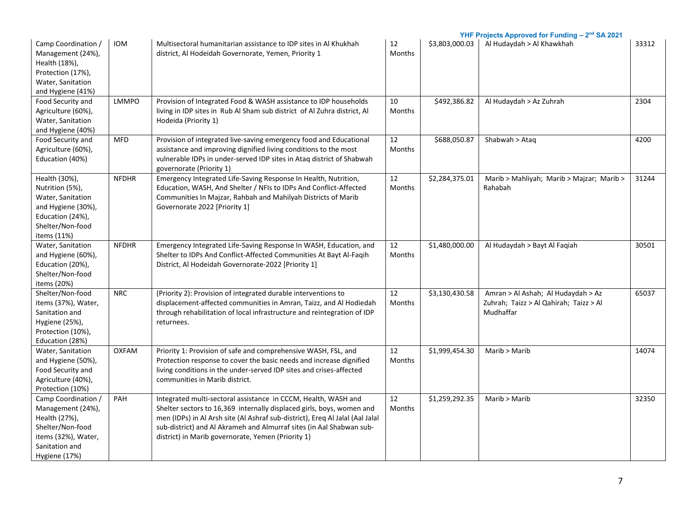| Camp Coordination /<br>Management (24%),<br>Health (18%),<br>Protection (17%),<br>Water, Sanitation<br>and Hygiene (41%)                | <b>IOM</b>   | Multisectoral humanitarian assistance to IDP sites in Al Khukhah<br>district, Al Hodeidah Governorate, Yemen, Priority 1                                                                                                                                                                                                                               | 12<br>Months        | \$3,803,000.03 | YHF Projects Approved for Funding - 2 <sup>nd</sup> SA 2021<br>Al Hudaydah > Al Khawkhah  | 33312 |
|-----------------------------------------------------------------------------------------------------------------------------------------|--------------|--------------------------------------------------------------------------------------------------------------------------------------------------------------------------------------------------------------------------------------------------------------------------------------------------------------------------------------------------------|---------------------|----------------|-------------------------------------------------------------------------------------------|-------|
| Food Security and<br>Agriculture (60%),<br>Water, Sanitation<br>and Hygiene (40%)                                                       | <b>LMMPO</b> | Provision of Integrated Food & WASH assistance to IDP households<br>living in IDP sites in Rub Al Sham sub district of Al Zuhra district, Al<br>Hodeida (Priority 1)                                                                                                                                                                                   | 10<br>Months        | \$492,386.82   | Al Hudaydah > Az Zuhrah                                                                   | 2304  |
| Food Security and<br>Agriculture (60%),<br>Education (40%)                                                                              | <b>MFD</b>   | Provision of integrated live-saving emergency food and Educational<br>assistance and improving dignified living conditions to the most<br>vulnerable IDPs in under-served IDP sites in Ataq district of Shabwah<br>governorate (Priority 1)                                                                                                            | 12<br>Months        | \$688,050.87   | Shabwah > Ataq                                                                            | 4200  |
| Health (30%),<br>Nutrition (5%),<br>Water, Sanitation<br>and Hygiene (30%),<br>Education (24%),<br>Shelter/Non-food<br>items (11%)      | <b>NFDHR</b> | Emergency Integrated Life-Saving Response In Health, Nutrition,<br>Education, WASH, And Shelter / NFIs to IDPs And Conflict-Affected<br>Communities In Majzar, Rahbah and Mahilyah Districts of Marib<br>Governorate 2022 [Priority 1]                                                                                                                 | 12<br>Months        | \$2,284,375.01 | Marib > Mahliyah; Marib > Majzar; Marib ><br>Rahabah                                      | 31244 |
| Water, Sanitation<br>and Hygiene (60%),<br>Education (20%),<br>Shelter/Non-food<br>items (20%)                                          | <b>NFDHR</b> | Emergency Integrated Life-Saving Response In WASH, Education, and<br>Shelter to IDPs And Conflict-Affected Communities At Bayt Al-Faqih<br>District, Al Hodeidah Governorate-2022 [Priority 1]                                                                                                                                                         | 12<br>Months        | \$1,480,000.00 | Al Hudaydah > Bayt Al Faqiah                                                              | 30501 |
| Shelter/Non-food<br>items (37%), Water,<br>Sanitation and<br>Hygiene (25%),<br>Protection (10%),<br>Education (28%)                     | <b>NRC</b>   | (Priority 2): Provision of integrated durable interventions to<br>displacement-affected communities in Amran, Taizz, and Al Hodiedah<br>through rehabilitation of local infrastructure and reintegration of IDP<br>returnees.                                                                                                                          | 12<br>Months        | \$3,130,430.58 | Amran > Al Ashah; Al Hudaydah > Az<br>Zuhrah; Taizz > Al Qahirah; Taizz > Al<br>Mudhaffar | 65037 |
| Water, Sanitation<br>and Hygiene (50%),<br>Food Security and<br>Agriculture (40%),<br>Protection (10%)                                  | <b>OXFAM</b> | Priority 1: Provision of safe and comprehensive WASH, FSL, and<br>Protection response to cover the basic needs and increase dignified<br>living conditions in the under-served IDP sites and crises-affected<br>communities in Marib district.                                                                                                         | 12<br>Months        | \$1,999,454.30 | Marib > Marib                                                                             | 14074 |
| Camp Coordination /<br>Management (24%),<br>Health (27%),<br>Shelter/Non-food<br>items (32%), Water,<br>Sanitation and<br>Hygiene (17%) | PAH          | Integrated multi-sectoral assistance in CCCM, Health, WASH and<br>Shelter sectors to 16,369 internally displaced girls, boys, women and<br>men (IDPs) in Al Arsh site (Al Ashraf sub-district), Ereq Al Jalal (Aal Jalal<br>sub-district) and Al Akrameh and Almurraf sites (in Aal Shabwan sub-<br>district) in Marib governorate, Yemen (Priority 1) | 12<br><b>Months</b> | \$1,259,292.35 | Marib > Marib                                                                             | 32350 |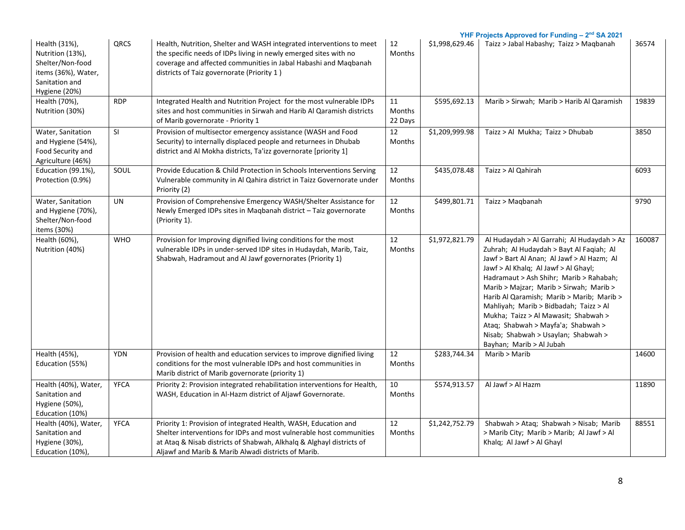|                                                                                                                 |             |                                                                                                                                                                                                                                                                       |                           |                | YHF Projects Approved for Funding - 2 <sup>nd</sup> SA 2021                                                                                                                                                                                                                                                                                                                                                                                                                                                |        |
|-----------------------------------------------------------------------------------------------------------------|-------------|-----------------------------------------------------------------------------------------------------------------------------------------------------------------------------------------------------------------------------------------------------------------------|---------------------------|----------------|------------------------------------------------------------------------------------------------------------------------------------------------------------------------------------------------------------------------------------------------------------------------------------------------------------------------------------------------------------------------------------------------------------------------------------------------------------------------------------------------------------|--------|
| Health (31%),<br>Nutrition (13%),<br>Shelter/Non-food<br>items (36%), Water,<br>Sanitation and<br>Hygiene (20%) | QRCS        | Health, Nutrition, Shelter and WASH integrated interventions to meet<br>the specific needs of IDPs living in newly emerged sites with no<br>coverage and affected communities in Jabal Habashi and Maqbanah<br>districts of Taiz governorate (Priority 1)             | 12<br>Months              | \$1,998,629.46 | Taizz > Jabal Habashy; Taizz > Magbanah                                                                                                                                                                                                                                                                                                                                                                                                                                                                    | 36574  |
| Health (70%),<br>Nutrition (30%)                                                                                | <b>RDP</b>  | Integrated Health and Nutrition Project for the most vulnerable IDPs<br>sites and host communities in Sirwah and Harib Al Qaramish districts<br>of Marib governorate - Priority 1                                                                                     | 11<br>Months<br>22 Days   | \$595,692.13   | Marib > Sirwah; Marib > Harib Al Qaramish                                                                                                                                                                                                                                                                                                                                                                                                                                                                  | 19839  |
| Water, Sanitation<br>and Hygiene (54%),<br>Food Security and<br>Agriculture (46%)                               | SI          | Provision of multisector emergency assistance (WASH and Food<br>Security) to internally displaced people and returnees in Dhubab<br>district and Al Mokha districts, Ta'izz governorate [priority 1]                                                                  | 12<br><b>Months</b>       | \$1,209,999.98 | Taizz > Al Mukha; Taizz > Dhubab                                                                                                                                                                                                                                                                                                                                                                                                                                                                           | 3850   |
| Education (99.1%),<br>Protection (0.9%)                                                                         | SOUL        | Provide Education & Child Protection in Schools Interventions Serving<br>Vulnerable community in Al Qahira district in Taizz Governorate under<br>Priority (2)                                                                                                        | 12<br><b>Months</b>       | \$435,078.48   | Taizz > Al Qahirah                                                                                                                                                                                                                                                                                                                                                                                                                                                                                         | 6093   |
| Water, Sanitation<br>and Hygiene (70%),<br>Shelter/Non-food<br>items (30%)                                      | UN          | Provision of Comprehensive Emergency WASH/Shelter Assistance for<br>Newly Emerged IDPs sites in Maqbanah district - Taiz governorate<br>(Priority 1).                                                                                                                 | 12<br>Months              | \$499,801.71   | Taizz > Maqbanah                                                                                                                                                                                                                                                                                                                                                                                                                                                                                           | 9790   |
| Health (60%),<br>Nutrition (40%)                                                                                | <b>WHO</b>  | Provision for Improving dignified living conditions for the most<br>vulnerable IDPs in under-served IDP sites in Hudaydah, Marib, Taiz,<br>Shabwah, Hadramout and Al Jawf governorates (Priority 1)                                                                   | 12<br><b>Months</b>       | \$1,972,821.79 | Al Hudaydah > Al Garrahi; Al Hudaydah > Az<br>Zuhrah; Al Hudaydah > Bayt Al Faqiah; Al<br>Jawf > Bart Al Anan; Al Jawf > Al Hazm; Al<br>Jawf > Al Khalq; Al Jawf > Al Ghayl;<br>Hadramaut > Ash Shihr; Marib > Rahabah;<br>Marib > Majzar; Marib > Sirwah; Marib ><br>Harib Al Qaramish; Marib > Marib; Marib ><br>Mahliyah; Marib > Bidbadah; Taizz > Al<br>Mukha; Taizz > Al Mawasit; Shabwah ><br>Ataq; Shabwah > Mayfa'a; Shabwah ><br>Nisab; Shabwah > Usaylan; Shabwah ><br>Bayhan; Marib > Al Jubah | 160087 |
| Health (45%),<br>Education (55%)                                                                                | <b>YDN</b>  | Provision of health and education services to improve dignified living<br>conditions for the most vulnerable IDPs and host communities in<br>Marib district of Marib governorate (priority 1)                                                                         | $\overline{12}$<br>Months | \$283,744.34   | Marib > Marib                                                                                                                                                                                                                                                                                                                                                                                                                                                                                              | 14600  |
| Health (40%), Water,<br>Sanitation and<br>Hygiene (50%),<br>Education (10%)                                     | <b>YFCA</b> | Priority 2: Provision integrated rehabilitation interventions for Health,<br>WASH, Education in Al-Hazm district of Aljawf Governorate.                                                                                                                               | 10<br><b>Months</b>       | \$574,913.57   | Al Jawf > Al Hazm                                                                                                                                                                                                                                                                                                                                                                                                                                                                                          | 11890  |
| Health (40%), Water,<br>Sanitation and<br>Hygiene (30%),<br>Education (10%),                                    | <b>YFCA</b> | Priority 1: Provision of integrated Health, WASH, Education and<br>Shelter interventions for IDPs and most vulnerable host communities<br>at Ataq & Nisab districts of Shabwah, Alkhalq & Alghayl districts of<br>Aljawf and Marib & Marib Alwadi districts of Marib. | 12<br><b>Months</b>       | \$1,242,752.79 | Shabwah > Ataq; Shabwah > Nisab; Marib<br>> Marib City; Marib > Marib; Al Jawf > Al<br>Khalq; Al Jawf > Al Ghayl                                                                                                                                                                                                                                                                                                                                                                                           | 88551  |